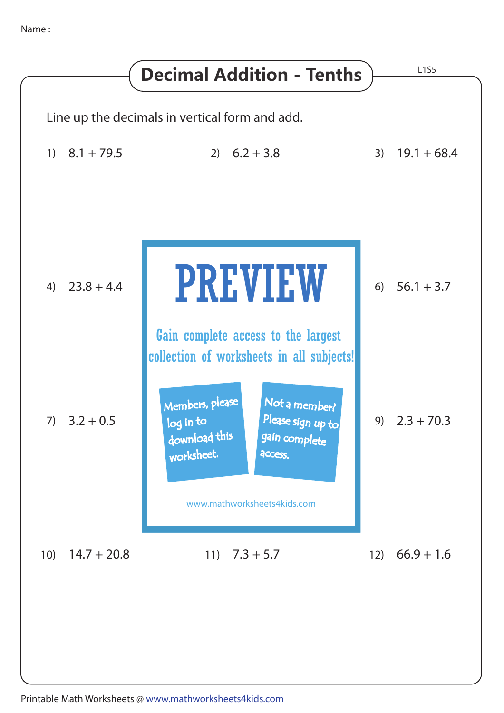